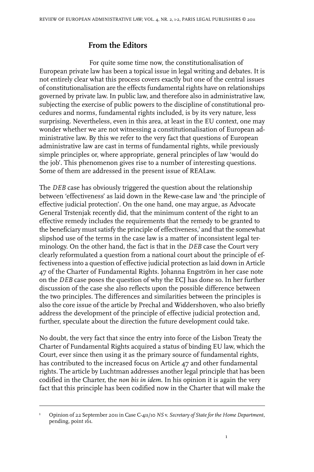## **From the Editors**

For quite some time now, the constitutionalisation of European private law has been a topical issue in legal writing and debates. It is not entirely clear what this process covers exactly but one of the central issues of constitutionalisation are the effects fundamental rights have on relationships governed by private law. In public law, and therefore also in administrative law, subjecting the exercise of public powers to the discipline of constitutional procedures and norms, fundamental rights included, is by its very nature, less surprising. Nevertheless, even in this area, at least in the EU context, one may wonder whether we are not witnessing a constitutionalisation of European administrative law. By this we refer to the very fact that questions of European administrative law are cast in terms of fundamental rights, while previously simple principles or, where appropriate, general principles of law 'would do the job'. This phenomenon gives rise to a number of interesting questions. Some of them are addressed in the present issue of REALaw.

The *DEB* case has obviously triggered the question about the relationship between 'effectiveness' as laid down in the Rewe-case law and 'the principle of effective judicial protection'. On the one hand, one may argue, as Advocate General Trstenjak recently did, that the minimum content of the right to an effective remedy includes the requirements that the remedy to be granted to the beneficiary must satisfy the principle of effectiveness,<sup>1</sup> and that the somewhat slipshod use of the terms in the case law is a matter of inconsistent legal terminology. On the other hand, the fact is that in the *DEB* case the Court very clearly reformulated a question from a national court about the principle of effectiveness into a question of effective judicial protection as laid down in Article 47 of the Charter of Fundamental Rights. Johanna Engström in her case note on the *DEB* case poses the question of why the ECJ has done so. In her further discussion of the case she also reflects upon the possible difference between the two principles. The differences and similarities between the principles is also the core issue of the article by Prechal and Widdershoven, who also briefly address the development of the principle of effective judicial protection and, further, speculate about the direction the future development could take.

No doubt, the very fact that since the entry into force of the Lisbon Treaty the Charter of Fundamental Rights acquired a status of binding EU law, which the Court, ever since then using it as the primary source of fundamental rights, has contributed to the increased focus on Article 47 and other fundamental rights. The article by Luchtman addresses another legal principle that has been codified in the Charter, the *non bis in idem*. In his opinion it is again the very fact that this principle has been codified now in the Charter that will make the

1

Opinion of 22 September 2011 in Case C-411/10 *NS* v. *Secretary of State for the Home Department*, pending, point 161. 1